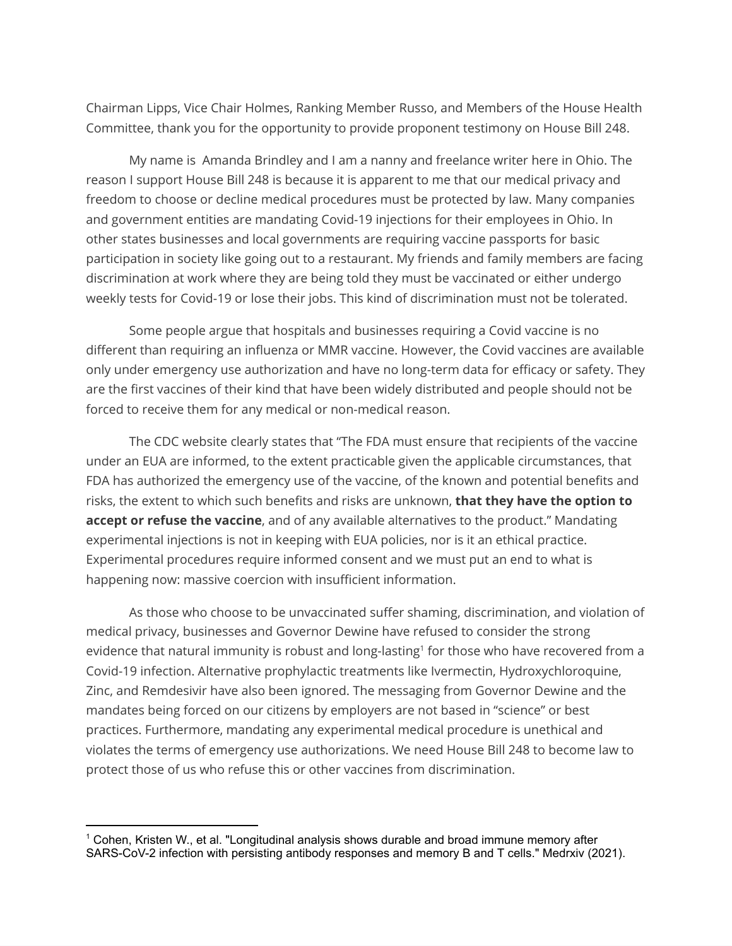Chairman Lipps, Vice Chair Holmes, Ranking Member Russo, and Members of the House Health Committee, thank you for the opportunity to provide proponent testimony on House Bill 248.

My name is Amanda Brindley and I am a nanny and freelance writer here in Ohio. The reason I support House Bill 248 is because it is apparent to me that our medical privacy and freedom to choose or decline medical procedures must be protected by law. Many companies and government entities are mandating Covid-19 injections for their employees in Ohio. In other states businesses and local governments are requiring vaccine passports for basic participation in society like going out to a restaurant. My friends and family members are facing discrimination at work where they are being told they must be vaccinated or either undergo weekly tests for Covid-19 or lose their jobs. This kind of discrimination must not be tolerated.

Some people argue that hospitals and businesses requiring a Covid vaccine is no different than requiring an influenza or MMR vaccine. However, the Covid vaccines are available only under emergency use authorization and have no long-term data for efficacy or safety. They are the first vaccines of their kind that have been widely distributed and people should not be forced to receive them for any medical or non-medical reason.

The CDC website clearly states that "The FDA must ensure that recipients of the vaccine under an EUA are informed, to the extent practicable given the applicable circumstances, that FDA has authorized the emergency use of the vaccine, of the known and potential benefits and risks, the extent to which such benefits and risks are unknown, **that they have the option to accept or refuse the vaccine**, and of any available alternatives to the product." Mandating experimental injections is not in keeping with EUA policies, nor is it an ethical practice. Experimental procedures require informed consent and we must put an end to what is happening now: massive coercion with insufficient information.

As those who choose to be unvaccinated suffer shaming, discrimination, and violation of medical privacy, businesses and Governor Dewine have refused to consider the strong evidence that natural immunity is robust and long-lasting<sup>1</sup> for those who have recovered from a Covid-19 infection. Alternative prophylactic treatments like Ivermectin, Hydroxychloroquine, Zinc, and Remdesivir have also been ignored. The messaging from Governor Dewine and the mandates being forced on our citizens by employers are not based in "science" or best practices. Furthermore, mandating any experimental medical procedure is unethical and violates the terms of emergency use authorizations. We need House Bill 248 to become law to protect those of us who refuse this or other vaccines from discrimination.

<sup>1</sup> Cohen, Kristen W., et al. "Longitudinal analysis shows durable and broad immune memory after SARS-CoV-2 infection with persisting antibody responses and memory B and T cells." Medrxiv (2021).